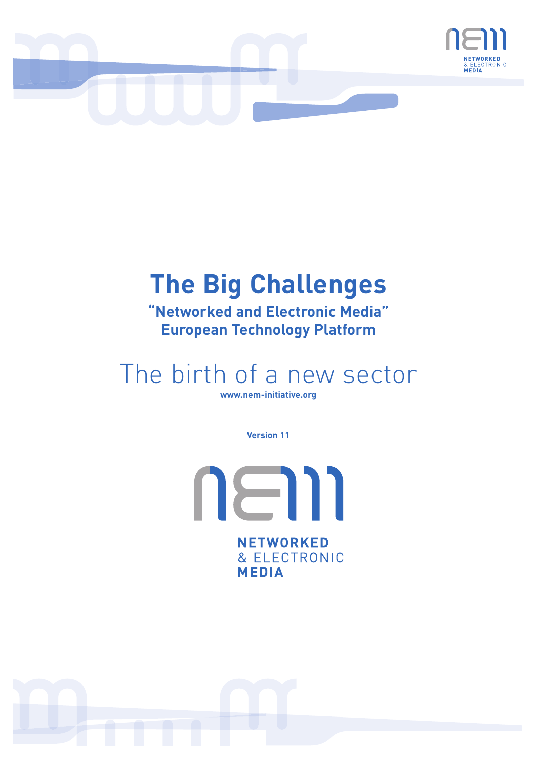

# **The Big Challenges**

**"Networked and Electronic Media" European Technology Platform**

# The birth of a new sector

**www.nem-initiative.org** 

**Version 11**

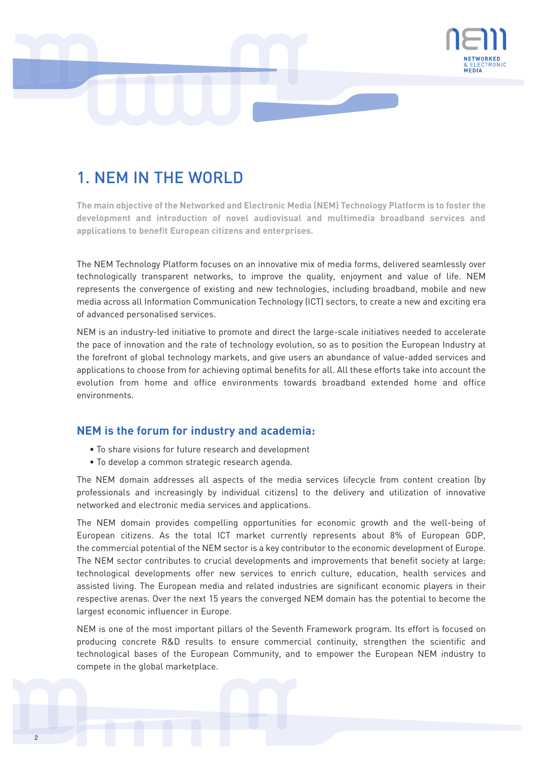

# 1. NEM IN THE WORLD

**The main objective of the Networked and Electronic Media (NEM) Technology Platform is to foster the development and introduction of novel audiovisual and multimedia broadband services and applications to benefit European citizens and enterprises.** 

The NEM Technology Platform focuses on an innovative mix of media forms, delivered seamlessly over technologically transparent networks, to improve the quality, enjoyment and value of life. NEM represents the convergence of existing and new technologies, including broadband, mobile and new media across all Information Communication Technology (ICT) sectors, to create a new and exciting era of advanced personalised services.

NEM is an industry-led initiative to promote and direct the large-scale initiatives needed to accelerate the pace of innovation and the rate of technology evolution, so as to position the European Industry at the forefront of global technology markets, and give users an abundance of value-added services and applications to choose from for achieving optimal benefits for all. All these efforts take into account the evolution from home and office environments towards broadband extended home and office environments.

## **NEM is the forum for industry and academia:**

- To share visions for future research and development
- To develop a common strategic research agenda.

The NEM domain addresses all aspects of the media services lifecycle from content creation (by professionals and increasingly by individual citizens) to the delivery and utilization of innovative networked and electronic media services and applications.

The NEM domain provides compelling opportunities for economic growth and the well-being of European citizens. As the total ICT market currently represents about 8% of European GDP, the commercial potential of the NEM sector is a key contributor to the economic development of Europe. The NEM sector contributes to crucial developments and improvements that benefit society at large: technological developments offer new services to enrich culture, education, health services and assisted living. The European media and related industries are significant economic players in their respective arenas. Over the next 15 years the converged NEM domain has the potential to become the largest economic influencer in Europe.

NEM is one of the most important pillars of the Seventh Framework program. Its effort is focused on producing concrete R&D results to ensure commercial continuity, strengthen the scientific and technological bases of the European Community, and to empower the European NEM industry to compete in the global marketplace.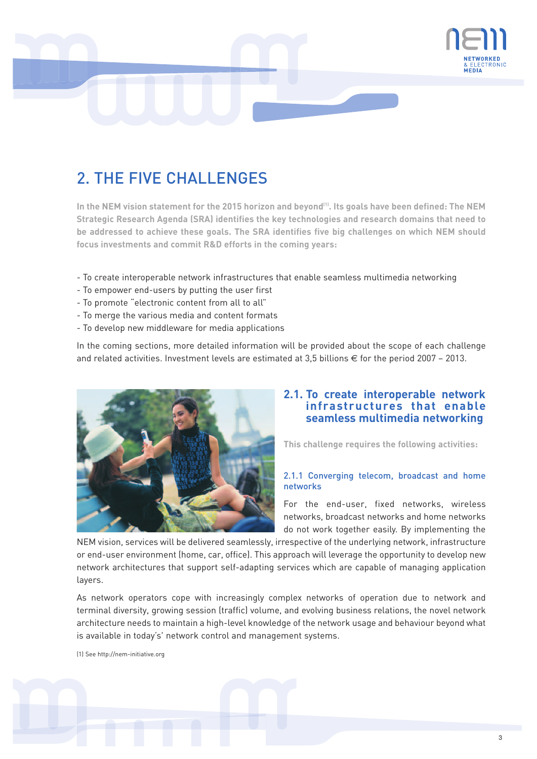

# 2. THE FIVE CHALLENGES

In the NEM vision statement for the 2015 horizon and beyond<sup>(1)</sup>. Its goals have been defined: The NEM **Strategic Research Agenda (SRA) identifies the key technologies and research domains that need to be addressed to achieve these goals. The SRA identifies five big challenges on which NEM should focus investments and commit R&D efforts in the coming years:**

- To create interoperable network infrastructures that enable seamless multimedia networking
- To empower end-users by putting the user first
- To promote "electronic content from all to all"
- To merge the various media and content formats
- To develop new middleware for media applications

In the coming sections, more detailed information will be provided about the scope of each challenge and related activities. Investment levels are estimated at 3,5 billions  $\epsilon$  for the period 2007 - 2013.



## **2.1. To create interoperable network infrastructures that enable seamless multimedia networking**

**This challenge requires the following activities:**

#### 2.1.1 Converging telecom, broadcast and home networks

For the end-user, fixed networks, wireless networks, broadcast networks and home networks do not work together easily. By implementing the

NEM vision, services will be delivered seamlessly, irrespective of the underlying network, infrastructure or end-user environment (home, car, office). This approach will leverage the opportunity to develop new network architectures that support self-adapting services which are capable of managing application layers.

As network operators cope with increasingly complex networks of operation due to network and terminal diversity, growing session (traffic) volume, and evolving business relations, the novel network architecture needs to maintain a high-level knowledge of the network usage and behaviour beyond what is available in today's' network control and management systems.

(1) See http://nem-initiative.org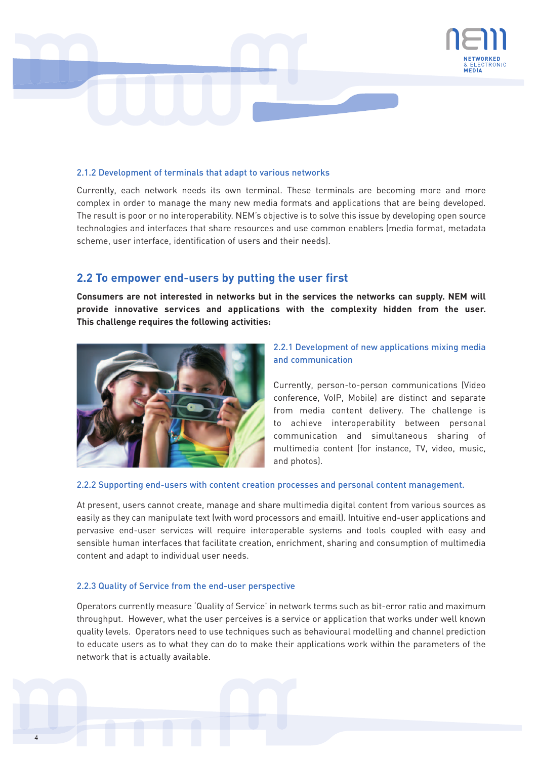

#### 2.1.2 Development of terminals that adapt to various networks

Currently, each network needs its own terminal. These terminals are becoming more and more complex in order to manage the many new media formats and applications that are being developed. The result is poor or no interoperability. NEM's objective is to solve this issue by developing open source technologies and interfaces that share resources and use common enablers (media format, metadata scheme, user interface, identification of users and their needs).

## **2.2 To empower end-users by putting the user first**

**Consumers are not interested in networks but in the services the networks can supply. NEM will provide innovative services and applications with the complexity hidden from the user. This challenge requires the following activities:**



#### 2.2.1 Development of new applications mixing media and communication

Currently, person-to-person communications (Video conference, VoIP, Mobile) are distinct and separate from media content delivery. The challenge is to achieve interoperability between personal communication and simultaneous sharing of multimedia content (for instance, TV, video, music, and photos).

#### 2.2.2 Supporting end-users with content creation processes and personal content management.

At present, users cannot create, manage and share multimedia digital content from various sources as easily as they can manipulate text (with word processors and email). Intuitive end-user applications and pervasive end-user services will require interoperable systems and tools coupled with easy and sensible human interfaces that facilitate creation, enrichment, sharing and consumption of multimedia content and adapt to individual user needs.

#### 2.2.3 Quality of Service from the end-user perspective

Operators currently measure 'Quality of Service' in network terms such as bit-error ratio and maximum throughput. However, what the user perceives is a service or application that works under well known quality levels. Operators need to use techniques such as behavioural modelling and channel prediction to educate users as to what they can do to make their applications work within the parameters of the network that is actually available.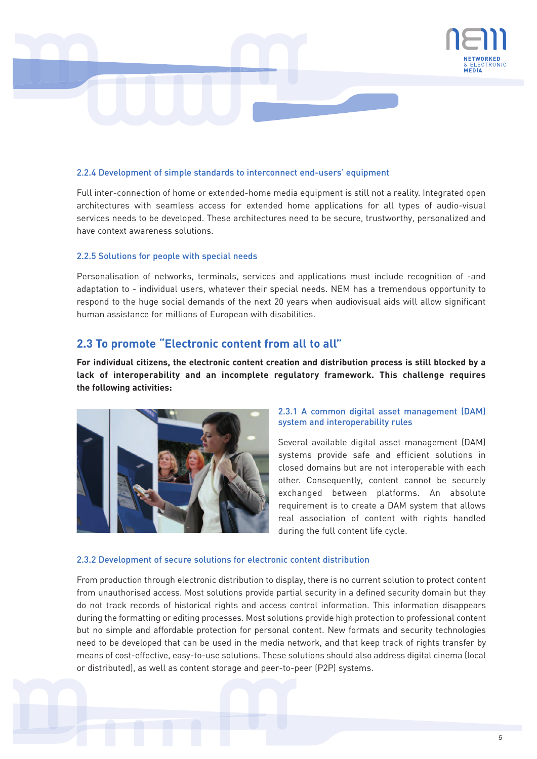

#### 2.2.4 Development of simple standards to interconnect end-users' equipment

Full inter-connection of home or extended-home media equipment is still not a reality. Integrated open architectures with seamless access for extended home applications for all types of audio-visual services needs to be developed. These architectures need to be secure, trustworthy, personalized and have context awareness solutions.

#### 2.2.5 Solutions for people with special needs

Personalisation of networks, terminals, services and applications must include recognition of -and adaptation to - individual users, whatever their special needs. NEM has a tremendous opportunity to respond to the huge social demands of the next 20 years when audiovisual aids will allow significant human assistance for millions of European with disabilities.

# **2.3 To promote "Electronic content from all to all"**

**For individual citizens, the electronic content creation and distribution process is still blocked by a lack of interoperability and an incomplete regulatory framework. This challenge requires the following activities:**



#### 2.3.1 A common digital asset management (DAM) system and interoperability rules

Several available digital asset management (DAM) systems provide safe and efficient solutions in closed domains but are not interoperable with each other. Consequently, content cannot be securely exchanged between platforms. An absolute requirement is to create a DAM system that allows real association of content with rights handled during the full content life cycle.

#### 2.3.2 Development of secure solutions for electronic content distribution

From production through electronic distribution to display, there is no current solution to protect content from unauthorised access. Most solutions provide partial security in a defined security domain but they do not track records of historical rights and access control information. This information disappears during the formatting or editing processes. Most solutions provide high protection to professional content but no simple and affordable protection for personal content. New formats and security technologies need to be developed that can be used in the media network, and that keep track of rights transfer by means of cost-effective, easy-to-use solutions. These solutions should also address digital cinema (local or distributed), as well as content storage and peer-to-peer (P2P) systems.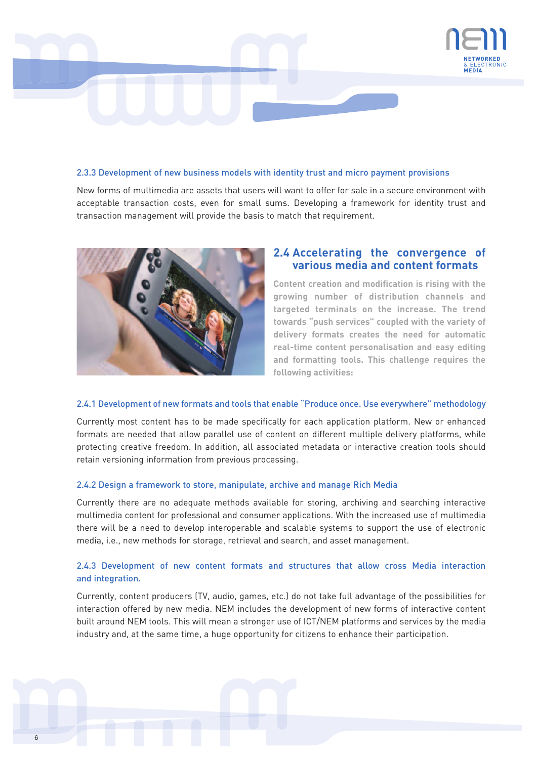

#### 2.3.3 Development of new business models with identity trust and micro payment provisions

New forms of multimedia are assets that users will want to offer for sale in a secure environment with acceptable transaction costs, even for small sums. Developing a framework for identity trust and transaction management will provide the basis to match that requirement.



# **2.4 Accelerating the convergence of various media and content formats**

**Content creation and modification is rising with the growing number of distribution channels and targeted terminals on the increase. The trend towards "push services" coupled with the variety of delivery formats creates the need for automatic real-time content personalisation and easy editing and formatting tools. This challenge requires the following activities:**

#### 2.4.1 Development of new formats and tools that enable "Produce once. Use everywhere" methodology

Currently most content has to be made specifically for each application platform. New or enhanced formats are needed that allow parallel use of content on different multiple delivery platforms, while protecting creative freedom. In addition, all associated metadata or interactive creation tools should retain versioning information from previous processing.

#### 2.4.2 Design a framework to store, manipulate, archive and manage Rich Media

Currently there are no adequate methods available for storing, archiving and searching interactive multimedia content for professional and consumer applications. With the increased use of multimedia there will be a need to develop interoperable and scalable systems to support the use of electronic media, i.e., new methods for storage, retrieval and search, and asset management.

#### 2.4.3 Development of new content formats and structures that allow cross Media interaction and integration.

Currently, content producers (TV, audio, games, etc.) do not take full advantage of the possibilities for interaction offered by new media. NEM includes the development of new forms of interactive content built around NEM tools. This will mean a stronger use of ICT/NEM platforms and services by the media industry and, at the same time, a huge opportunity for citizens to enhance their participation.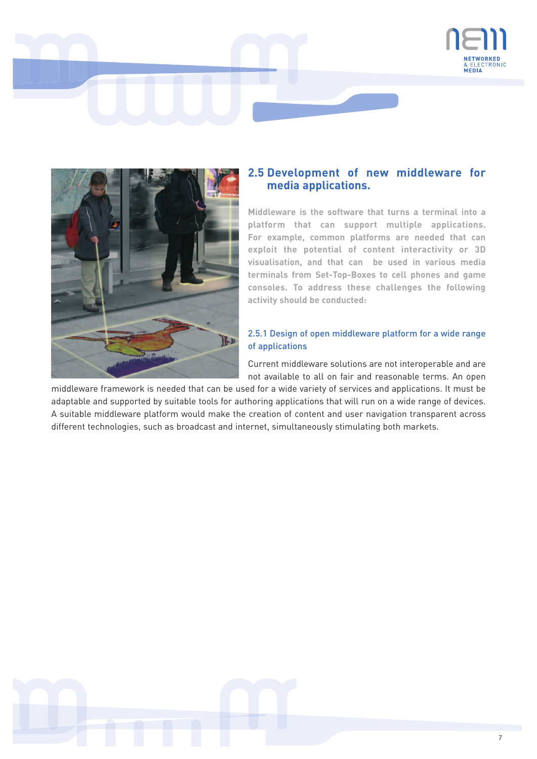



# **2.5 Development of new middleware for media applications.**

**Middleware is the software that turns a terminal into a platform that can support multiple applications. For example, common platforms are needed that can exploit the potential of content interactivity or 3D visualisation, and that can be used in various media terminals from Set-Top-Boxes to cell phones and game consoles. To address these challenges the following activity should be conducted:**

### 2.5.1 Design of open middleware platform for a wide range of applications

Current middleware solutions are not interoperable and are not available to all on fair and reasonable terms. An open

middleware framework is needed that can be used for a wide variety of services and applications. It must be adaptable and supported by suitable tools for authoring applications that will run on a wide range of devices. A suitable middleware platform would make the creation of content and user navigation transparent across different technologies, such as broadcast and internet, simultaneously stimulating both markets.